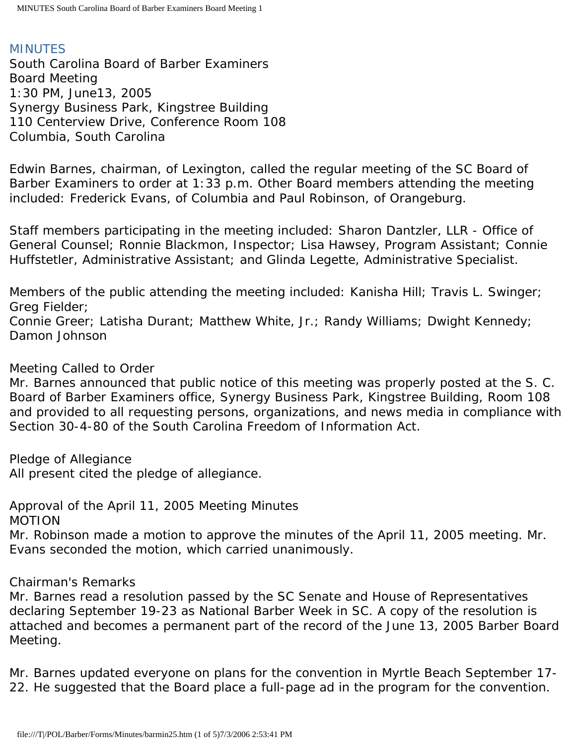# MINUTES

South Carolina Board of Barber Examiners Board Meeting 1:30 PM, June13, 2005 Synergy Business Park, Kingstree Building 110 Centerview Drive, Conference Room 108 Columbia, South Carolina

Edwin Barnes, chairman, of Lexington, called the regular meeting of the SC Board of Barber Examiners to order at 1:33 p.m. Other Board members attending the meeting included: Frederick Evans, of Columbia and Paul Robinson, of Orangeburg.

Staff members participating in the meeting included: Sharon Dantzler, LLR - Office of General Counsel; Ronnie Blackmon, Inspector; Lisa Hawsey, Program Assistant; Connie Huffstetler, Administrative Assistant; and Glinda Legette, Administrative Specialist.

Members of the public attending the meeting included: Kanisha Hill; Travis L. Swinger; Greg Fielder;

Connie Greer; Latisha Durant; Matthew White, Jr.; Randy Williams; Dwight Kennedy; Damon Johnson

# Meeting Called to Order

Mr. Barnes announced that public notice of this meeting was properly posted at the S. C. Board of Barber Examiners office, Synergy Business Park, Kingstree Building, Room 108 and provided to all requesting persons, organizations, and news media in compliance with Section 30-4-80 of the South Carolina Freedom of Information Act.

Pledge of Allegiance

All present cited the pledge of allegiance.

Approval of the April 11, 2005 Meeting Minutes MOTION

Mr. Robinson made a motion to approve the minutes of the April 11, 2005 meeting. Mr. Evans seconded the motion, which carried unanimously.

# Chairman's Remarks

Mr. Barnes read a resolution passed by the SC Senate and House of Representatives declaring September 19-23 as National Barber Week in SC. A copy of the resolution is attached and becomes a permanent part of the record of the June 13, 2005 Barber Board Meeting.

Mr. Barnes updated everyone on plans for the convention in Myrtle Beach September 17- 22. He suggested that the Board place a full-page ad in the program for the convention.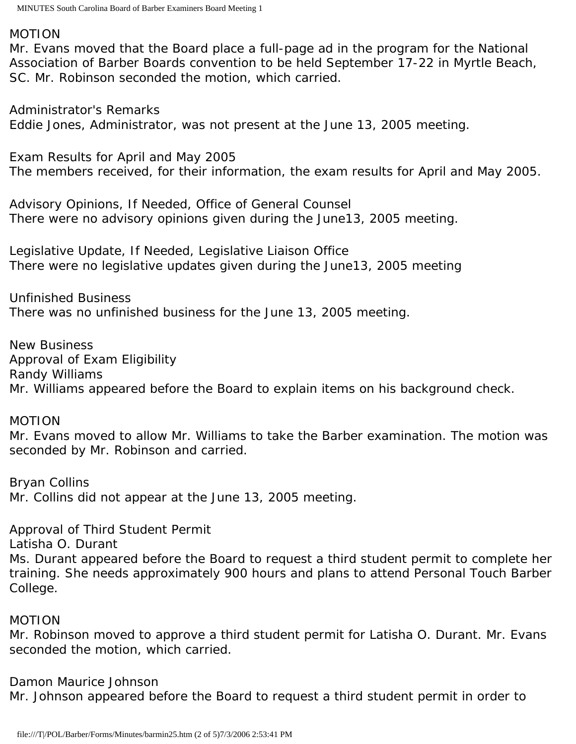#### MOTION

Mr. Evans moved that the Board place a full-page ad in the program for the National Association of Barber Boards convention to be held September 17-22 in Myrtle Beach, SC. Mr. Robinson seconded the motion, which carried.

Administrator's Remarks Eddie Jones, Administrator, was not present at the June 13, 2005 meeting.

Exam Results for April and May 2005 The members received, for their information, the exam results for April and May 2005.

Advisory Opinions, If Needed, Office of General Counsel There were no advisory opinions given during the June13, 2005 meeting.

Legislative Update, If Needed, Legislative Liaison Office There were no legislative updates given during the June13, 2005 meeting

Unfinished Business There was no unfinished business for the June 13, 2005 meeting.

New Business Approval of Exam Eligibility Randy Williams Mr. Williams appeared before the Board to explain items on his background check.

## MOTION

Mr. Evans moved to allow Mr. Williams to take the Barber examination. The motion was seconded by Mr. Robinson and carried.

Bryan Collins Mr. Collins did not appear at the June 13, 2005 meeting.

Approval of Third Student Permit Latisha O. Durant Ms. Durant appeared before the Board to request a third student permit to complete her training. She needs approximately 900 hours and plans to attend Personal Touch Barber College.

## MOTION

Mr. Robinson moved to approve a third student permit for Latisha O. Durant. Mr. Evans seconded the motion, which carried.

Damon Maurice Johnson Mr. Johnson appeared before the Board to request a third student permit in order to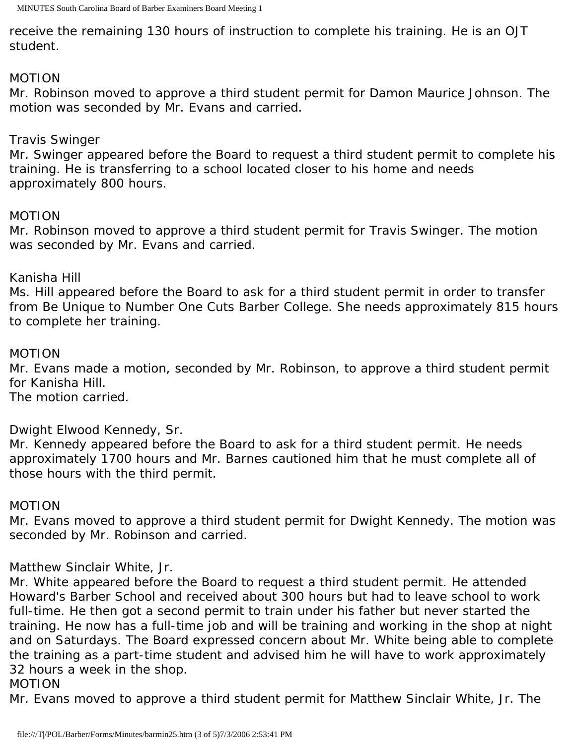receive the remaining 130 hours of instruction to complete his training. He is an OJT student.

## MOTION

Mr. Robinson moved to approve a third student permit for Damon Maurice Johnson. The motion was seconded by Mr. Evans and carried.

# Travis Swinger

Mr. Swinger appeared before the Board to request a third student permit to complete his training. He is transferring to a school located closer to his home and needs approximately 800 hours.

## MOTION

Mr. Robinson moved to approve a third student permit for Travis Swinger. The motion was seconded by Mr. Evans and carried.

## Kanisha Hill

Ms. Hill appeared before the Board to ask for a third student permit in order to transfer from Be Unique to Number One Cuts Barber College. She needs approximately 815 hours to complete her training.

## MOTION

Mr. Evans made a motion, seconded by Mr. Robinson, to approve a third student permit for Kanisha Hill.

The motion carried.

Dwight Elwood Kennedy, Sr.

Mr. Kennedy appeared before the Board to ask for a third student permit. He needs approximately 1700 hours and Mr. Barnes cautioned him that he must complete all of those hours with the third permit.

## MOTION

Mr. Evans moved to approve a third student permit for Dwight Kennedy. The motion was seconded by Mr. Robinson and carried.

# Matthew Sinclair White, Jr.

Mr. White appeared before the Board to request a third student permit. He attended Howard's Barber School and received about 300 hours but had to leave school to work full-time. He then got a second permit to train under his father but never started the training. He now has a full-time job and will be training and working in the shop at night and on Saturdays. The Board expressed concern about Mr. White being able to complete the training as a part-time student and advised him he will have to work approximately 32 hours a week in the shop.

## MOTION

Mr. Evans moved to approve a third student permit for Matthew Sinclair White, Jr. The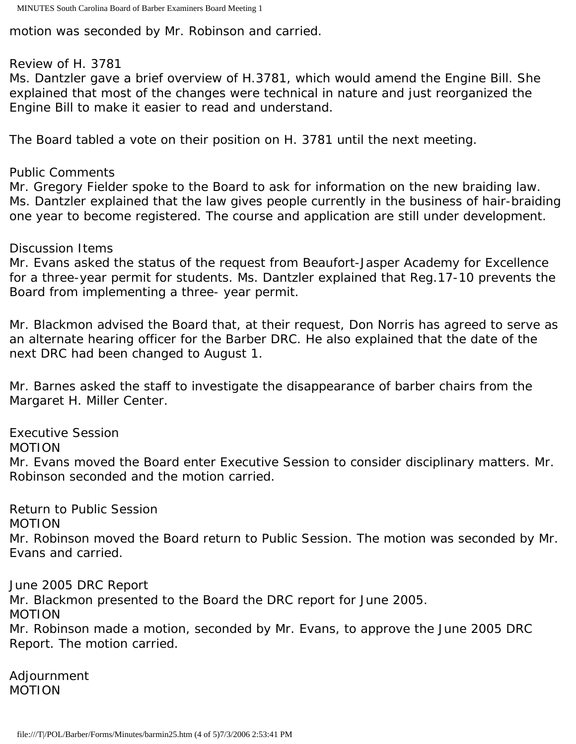motion was seconded by Mr. Robinson and carried.

#### Review of H. 3781

Ms. Dantzler gave a brief overview of H.3781, which would amend the Engine Bill. She explained that most of the changes were technical in nature and just reorganized the Engine Bill to make it easier to read and understand.

The Board tabled a vote on their position on H. 3781 until the next meeting.

## Public Comments

Mr. Gregory Fielder spoke to the Board to ask for information on the new braiding law. Ms. Dantzler explained that the law gives people currently in the business of hair-braiding one year to become registered. The course and application are still under development.

## Discussion Items

Mr. Evans asked the status of the request from Beaufort-Jasper Academy for Excellence for a three-year permit for students. Ms. Dantzler explained that Reg.17-10 prevents the Board from implementing a three- year permit.

Mr. Blackmon advised the Board that, at their request, Don Norris has agreed to serve as an alternate hearing officer for the Barber DRC. He also explained that the date of the next DRC had been changed to August 1.

Mr. Barnes asked the staff to investigate the disappearance of barber chairs from the Margaret H. Miller Center.

Executive Session MOTION Mr. Evans moved the Board enter Executive Session to consider disciplinary matters. Mr. Robinson seconded and the motion carried.

Return to Public Session MOTION Mr. Robinson moved the Board return to Public Session. The motion was seconded by Mr. Evans and carried.

June 2005 DRC Report Mr. Blackmon presented to the Board the DRC report for June 2005. MOTION Mr. Robinson made a motion, seconded by Mr. Evans, to approve the June 2005 DRC Report. The motion carried.

Adjournment MOTION